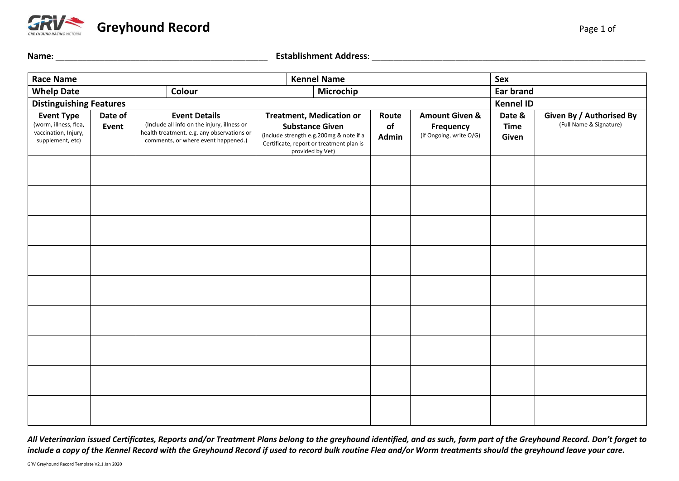

| Name:                                                             |         |  |                                                                                                                                  | <b>Establishment Address:</b>                                                                                                     |             |                                             |                  |                          |  |
|-------------------------------------------------------------------|---------|--|----------------------------------------------------------------------------------------------------------------------------------|-----------------------------------------------------------------------------------------------------------------------------------|-------------|---------------------------------------------|------------------|--------------------------|--|
| <b>Race Name</b>                                                  |         |  | <b>Kennel Name</b>                                                                                                               |                                                                                                                                   |             |                                             | Sex              |                          |  |
| Colour<br><b>Whelp Date</b>                                       |         |  | Microchip                                                                                                                        |                                                                                                                                   |             | <b>Ear brand</b>                            |                  |                          |  |
| <b>Distinguishing Features</b>                                    |         |  |                                                                                                                                  |                                                                                                                                   |             |                                             | <b>Kennel ID</b> |                          |  |
| <b>Event Type</b>                                                 | Date of |  | <b>Event Details</b>                                                                                                             | <b>Treatment, Medication or</b>                                                                                                   | Route       | <b>Amount Given &amp;</b>                   | Date &           | Given By / Authorised By |  |
| (worm, illness, flea,<br>vaccination, Injury,<br>supplement, etc) | Event   |  | (Include all info on the injury, illness or<br>health treatment. e.g. any observations or<br>comments, or where event happened.) | <b>Substance Given</b><br>(include strength e.g.200mg & note if a<br>Certificate, report or treatment plan is<br>provided by Vet) | 0f<br>Admin | <b>Frequency</b><br>(if Ongoing, write O/G) | Time<br>Given    | (Full Name & Signature)  |  |
|                                                                   |         |  |                                                                                                                                  |                                                                                                                                   |             |                                             |                  |                          |  |
|                                                                   |         |  |                                                                                                                                  |                                                                                                                                   |             |                                             |                  |                          |  |
|                                                                   |         |  |                                                                                                                                  |                                                                                                                                   |             |                                             |                  |                          |  |
|                                                                   |         |  |                                                                                                                                  |                                                                                                                                   |             |                                             |                  |                          |  |

*All Veterinarian issued Certificates, Reports and/or Treatment Plans belong to the greyhound identified, and as such, form part of the Greyhound Record. Don't forget to include a copy of the Kennel Record with the Greyhound Record if used to record bulk routine Flea and/or Worm treatments should the greyhound leave your care.*